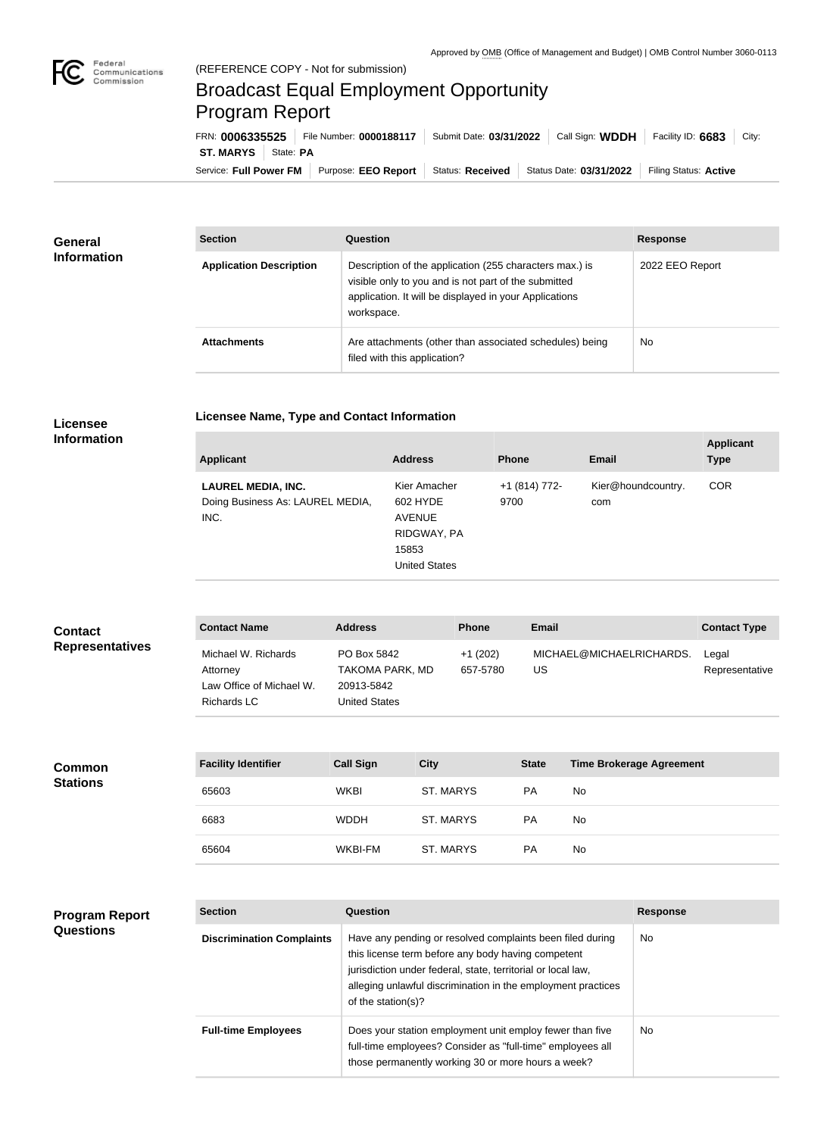**COL** 

## Broadcast Equal Employment Opportunity Program Report

**Licensee Name, Type and Contact Information**

Service: Full Power FM Purpose: EEO Report | Status: Received | Status Date: 03/31/2022 | Filing Status: Active **ST. MARYS** State: PA FRN: **0006335525** File Number: **0000188117** Submit Date: **03/31/2022** Call Sign: **WDDH** Facility ID: **6683** City:

| General<br><b>Information</b> | <b>Section</b>                 | <b>Question</b>                                                                                                                                                                         | <b>Response</b> |
|-------------------------------|--------------------------------|-----------------------------------------------------------------------------------------------------------------------------------------------------------------------------------------|-----------------|
|                               | <b>Application Description</b> | Description of the application (255 characters max.) is<br>visible only to you and is not part of the submitted<br>application. It will be displayed in your Applications<br>workspace. | 2022 EEO Report |
|                               | <b>Attachments</b>             | Are attachments (other than associated schedules) being<br>filed with this application?                                                                                                 | No              |

## **Licensee Information**

| <b>Applicant</b>                                                      | <b>Address</b>                                                                            | <b>Phone</b>          | <b>Email</b>              | <b>Applicant</b><br><b>Type</b> |
|-----------------------------------------------------------------------|-------------------------------------------------------------------------------------------|-----------------------|---------------------------|---------------------------------|
| <b>LAUREL MEDIA, INC.</b><br>Doing Business As: LAUREL MEDIA,<br>INC. | Kier Amacher<br>602 HYDE<br><b>AVENUE</b><br>RIDGWAY, PA<br>15853<br><b>United States</b> | +1 (814) 772-<br>9700 | Kier@houndcountry.<br>com | <b>COR</b>                      |

| <b>Contact</b>         | <b>Contact Name</b>                                                        | <b>Address</b>                                                       | <b>Phone</b>          | <b>Email</b>                   | <b>Contact Type</b>     |
|------------------------|----------------------------------------------------------------------------|----------------------------------------------------------------------|-----------------------|--------------------------------|-------------------------|
| <b>Representatives</b> | Michael W. Richards<br>Attornev<br>Law Office of Michael W.<br>Richards LC | PO Box 5842<br>TAKOMA PARK, MD<br>20913-5842<br><b>United States</b> | $+1(202)$<br>657-5780 | MICHAEL@MICHAELRICHARDS.<br>US | Legal<br>Representative |

| <b>Common</b><br><b>Stations</b> | <b>Facility Identifier</b> | <b>Call Sign</b> | <b>City</b> | <b>State</b> | <b>Time Brokerage Agreement</b> |
|----------------------------------|----------------------------|------------------|-------------|--------------|---------------------------------|
|                                  | 65603                      | <b>WKBI</b>      | ST. MARYS   | <b>PA</b>    | <b>No</b>                       |
|                                  | 6683                       | <b>WDDH</b>      | ST. MARYS   | <b>PA</b>    | <b>No</b>                       |
|                                  | 65604                      | WKBI-FM          | ST. MARYS   | <b>PA</b>    | No                              |

## **Program Report Questions**

| <b>Section</b>                   | Question                                                                                                                                                                                                                                                              | <b>Response</b> |
|----------------------------------|-----------------------------------------------------------------------------------------------------------------------------------------------------------------------------------------------------------------------------------------------------------------------|-----------------|
| <b>Discrimination Complaints</b> | Have any pending or resolved complaints been filed during<br>this license term before any body having competent<br>jurisdiction under federal, state, territorial or local law,<br>alleging unlawful discrimination in the employment practices<br>of the station(s)? | No.             |
| <b>Full-time Employees</b>       | Does your station employment unit employ fewer than five<br>full-time employees? Consider as "full-time" employees all<br>those permanently working 30 or more hours a week?                                                                                          | No.             |